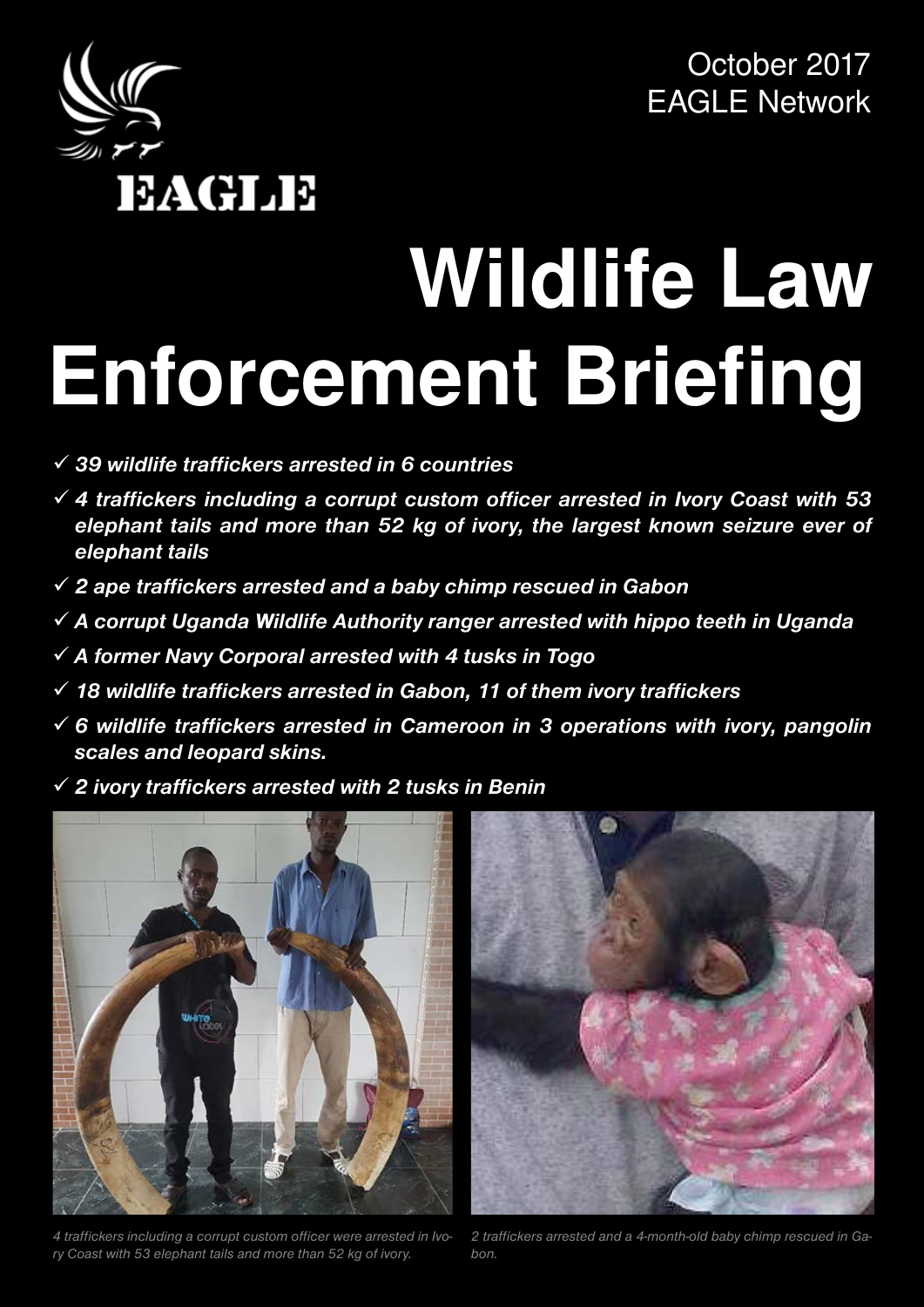

October 2017 EAGLE Network

# **Wildlife Law Enforcement Briefing**

- 9 *39 wildlife traffickers arrested in 6 countries*
- 9 *4 traffickers including a corrupt custom officer arrested in Ivory Coast with 53 elephant tails and more than 52 kg of ivory, the largest known seizure ever of elephant tails*
- 9 *2 ape traffickers arrested and a baby chimp rescued in Gabon*
- 9 *A corrupt Uganda Wildlife Authority ranger arrested with hippo teeth in Uganda*
- 9 *A former Navy Corporal arrested with 4 tusks in Togo*
- 9 *18 wildlife traffickers arrested in Gabon, 11 of them ivory traffickers*
- 9 *6 wildlife traffickers arrested in Cameroon in 3 operations with ivory, pangolin scales and leopard skins.*
- 9 *2 ivory traffickers arrested with 2 tusks in Benin*



4 traffickers including a corrupt custom officer were arrested in Ivo- 2 traffickers *ry Coast with 53 elephant tails and more than 52 kg of ivory.* 



*2 traffickers arrested and a 4-month-old baby chimp rescued in Gabon.*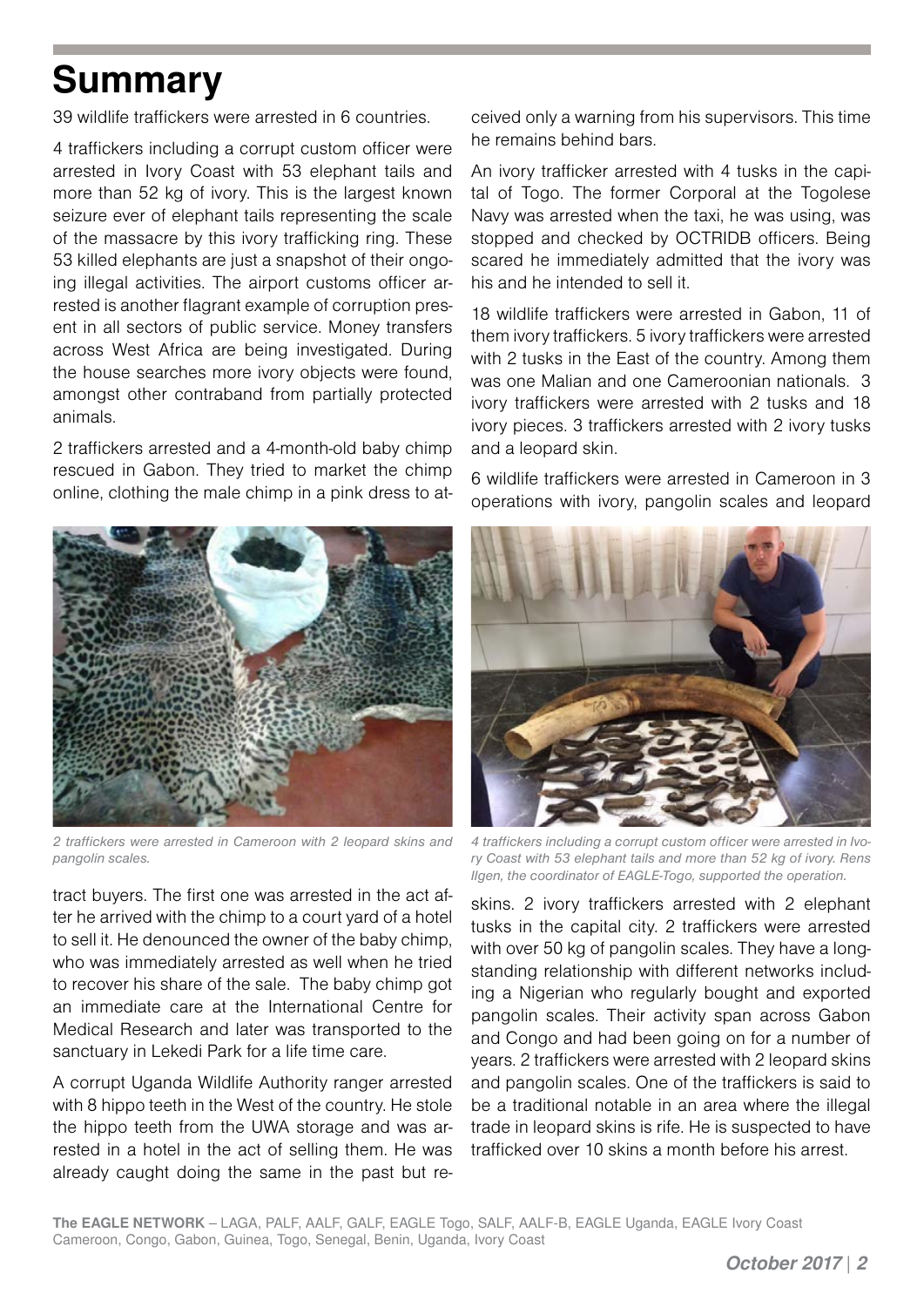# **Summary**

39 wildlife traffickers were arrested in 6 countries.

4 traffickers including a corrupt custom officer were arrested in Ivory Coast with 53 elephant tails and more than 52 kg of ivory. This is the largest known seizure ever of elephant tails representing the scale of the massacre by this ivory trafficking ring. These 53 killed elephants are just a snapshot of their ongoing illegal activities. The airport customs officer arrested is another flagrant example of corruption present in all sectors of public service. Money transfers across West Africa are being investigated. During the house searches more ivory objects were found, amongst other contraband from partially protected animals.

2 traffickers arrested and a 4-month-old baby chimp rescued in Gabon. They tried to market the chimp online, clothing the male chimp in a pink dress to at-



*2 traffickers were arrested in Cameroon with 2 leopard skins and pangolin scales.* 

tract buyers. The first one was arrested in the act after he arrived with the chimp to a court yard of a hotel to sell it. He denounced the owner of the baby chimp, who was immediately arrested as well when he tried to recover his share of the sale. The baby chimp got an immediate care at the International Centre for Medical Research and later was transported to the sanctuary in Lekedi Park for a life time care.

A corrupt Uganda Wildlife Authority ranger arrested with 8 hippo teeth in the West of the country. He stole the hippo teeth from the UWA storage and was arrested in a hotel in the act of selling them. He was already caught doing the same in the past but received only a warning from his supervisors. This time he remains behind bars.

An ivory trafficker arrested with 4 tusks in the capital of Togo. The former Corporal at the Togolese Navy was arrested when the taxi, he was using, was stopped and checked by OCTRIDB officers. Being scared he immediately admitted that the ivory was his and he intended to sell it.

18 wildlife traffickers were arrested in Gabon, 11 of them ivory traffickers. 5 ivory traffickers were arrested with 2 tusks in the East of the country. Among them was one Malian and one Cameroonian nationals. 3 ivory traffickers were arrested with 2 tusks and 18 ivory pieces. 3 traffickers arrested with 2 ivory tusks and a leopard skin.

6 wildlife traffickers were arrested in Cameroon in 3 operations with ivory, pangolin scales and leopard



*4 traffickers including a corrupt custom officer were arrested in Ivory Coast with 53 elephant tails and more than 52 kg of ivory. Rens Ilgen, the coordinator of EAGLE-Togo, supported the operation.*

skins. 2 ivory traffickers arrested with 2 elephant tusks in the capital city. 2 traffickers were arrested with over 50 kg of pangolin scales. They have a longstanding relationship with different networks including a Nigerian who regularly bought and exported pangolin scales. Their activity span across Gabon and Congo and had been going on for a number of years. 2 traffickers were arrested with 2 leopard skins and pangolin scales. One of the traffickers is said to be a traditional notable in an area where the illegal trade in leopard skins is rife. He is suspected to have trafficked over 10 skins a month before his arrest.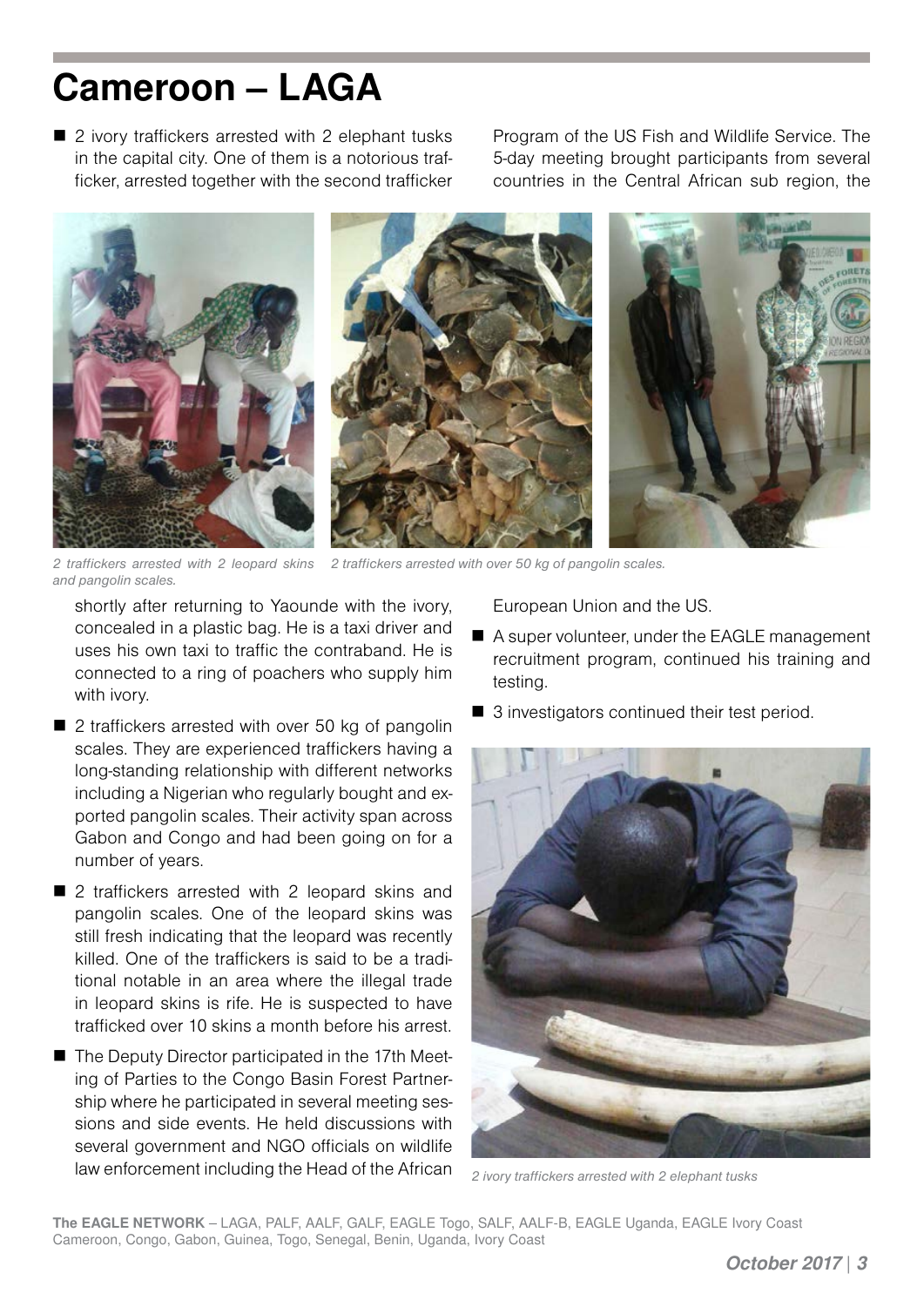#### **Cameroon – LAGA**

■ 2 ivory traffickers arrested with 2 elephant tusks in the capital city. One of them is a notorious trafficker, arrested together with the second trafficker Program of the US Fish and Wildlife Service. The 5-day meeting brought participants from several countries in the Central African sub region, the



*2 traffickers arrested with 2 leopard skins 2 traffickers arrested with over 50 kg of pangolin scales. and pangolin scales.*

shortly after returning to Yaounde with the ivory, concealed in a plastic bag. He is a taxi driver and uses his own taxi to traffic the contraband. He is connected to a ring of poachers who supply him with ivory.

- 2 traffickers arrested with over 50 kg of pangolin scales. They are experienced traffickers having a long-standing relationship with different networks including a Nigerian who regularly bought and exported pangolin scales. Their activity span across Gabon and Congo and had been going on for a number of years.
- 2 traffickers arrested with 2 leopard skins and pangolin scales. One of the leopard skins was still fresh indicating that the leopard was recently killed. One of the traffickers is said to be a traditional notable in an area where the illegal trade in leopard skins is rife. He is suspected to have trafficked over 10 skins a month before his arrest.
- The Deputy Director participated in the 17th Meeting of Parties to the Congo Basin Forest Partnership where he participated in several meeting sessions and side events. He held discussions with several government and NGO officials on wildlife law enforcement including the Head of the African

European Union and the US.

- A super volunteer, under the EAGLE management recruitment program, continued his training and testing.
- 3 investigators continued their test period.



*2 ivory traffickers arrested with 2 elephant tusks*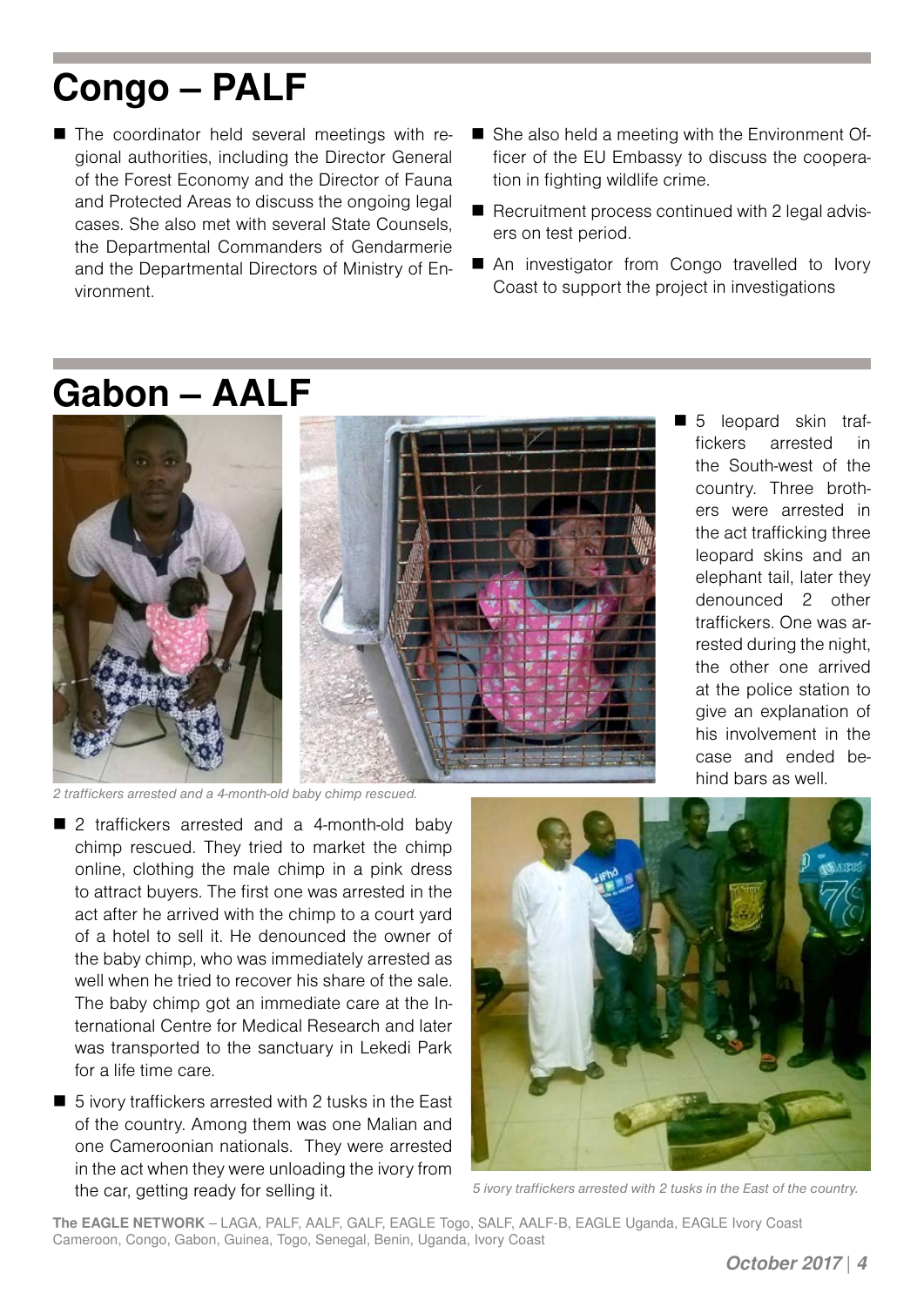## **Congo – PALF**

- The coordinator held several meetings with regional authorities, including the Director General of the Forest Economy and the Director of Fauna and Protected Areas to discuss the ongoing legal cases. She also met with several State Counsels, the Departmental Commanders of Gendarmerie and the Departmental Directors of Ministry of Environment.
- She also held a meeting with the Environment Officer of the EU Embassy to discuss the cooperation in fighting wildlife crime.
- $\blacksquare$  Recruitment process continued with 2 legal advisers on test period.
- An investigator from Congo travelled to Ivory Coast to support the project in investigations

#### **Gabon – AALF**





*2 traffickers arrested and a 4-month-old baby chimp rescued.* 

- 2 traffickers arrested and a 4-month-old baby chimp rescued. They tried to market the chimp online, clothing the male chimp in a pink dress to attract buyers. The first one was arrested in the act after he arrived with the chimp to a court yard of a hotel to sell it. He denounced the owner of the baby chimp, who was immediately arrested as well when he tried to recover his share of the sale. The baby chimp got an immediate care at the International Centre for Medical Research and later was transported to the sanctuary in Lekedi Park for a life time care.
- 5 ivory traffickers arrested with 2 tusks in the East of the country. Among them was one Malian and one Cameroonian nationals. They were arrested in the act when they were unloading the ivory from the car, getting ready for selling it.



*5 ivory traffickers arrested with 2 tusks in the East of the country.* 

**The EAGLE NETWORK** – LAGA, PALF, AALF, GALF, EAGLE Togo, SALF, AALF-B, EAGLE Uganda, EAGLE Ivory Coast Cameroon, Congo, Gabon, Guinea, Togo, Senegal, Benin, Uganda, Ivory Coast

*October 2017* | *4*

 5 leopard skin traffickers arrested in the South-west of the country. Three brothers were arrested in the act trafficking three leopard skins and an elephant tail, later they denounced 2 other traffickers. One was arrested during the night, the other one arrived at the police station to give an explanation of his involvement in the case and ended behind bars as well.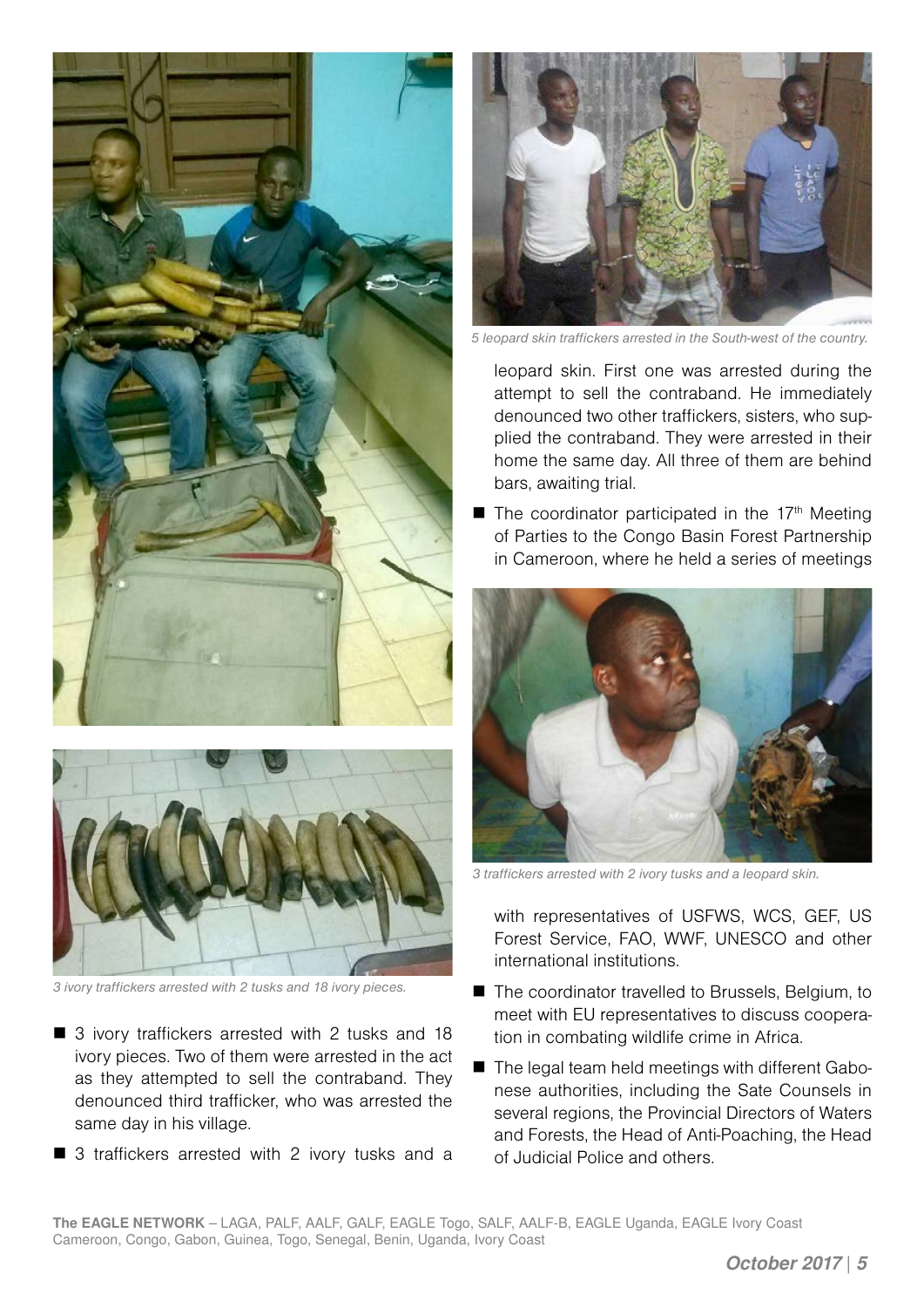



*3 ivory traffickers arrested with 2 tusks and 18 ivory pieces.* 

- 3 ivory traffickers arrested with 2 tusks and 18 ivory pieces. Two of them were arrested in the act as they attempted to sell the contraband. They denounced third trafficker, who was arrested the same day in his village.
- 3 traffickers arrested with 2 ivory tusks and a



*5 leopard skin traffickers arrested in the South-west of the country.* 

leopard skin. First one was arrested during the attempt to sell the contraband. He immediately denounced two other traffickers, sisters, who supplied the contraband. They were arrested in their home the same day. All three of them are behind bars, awaiting trial.

 $\blacksquare$  The coordinator participated in the 17<sup>th</sup> Meeting of Parties to the Congo Basin Forest Partnership in Cameroon, where he held a series of meetings



*3 traffickers arrested with 2 ivory tusks and a leopard skin.*

with representatives of USFWS, WCS, GEF, US Forest Service, FAO, WWF, UNESCO and other international institutions.

- The coordinator travelled to Brussels, Belgium, to meet with EU representatives to discuss cooperation in combating wildlife crime in Africa.
- The legal team held meetings with different Gabonese authorities, including the Sate Counsels in several regions, the Provincial Directors of Waters and Forests, the Head of Anti-Poaching, the Head of Judicial Police and others.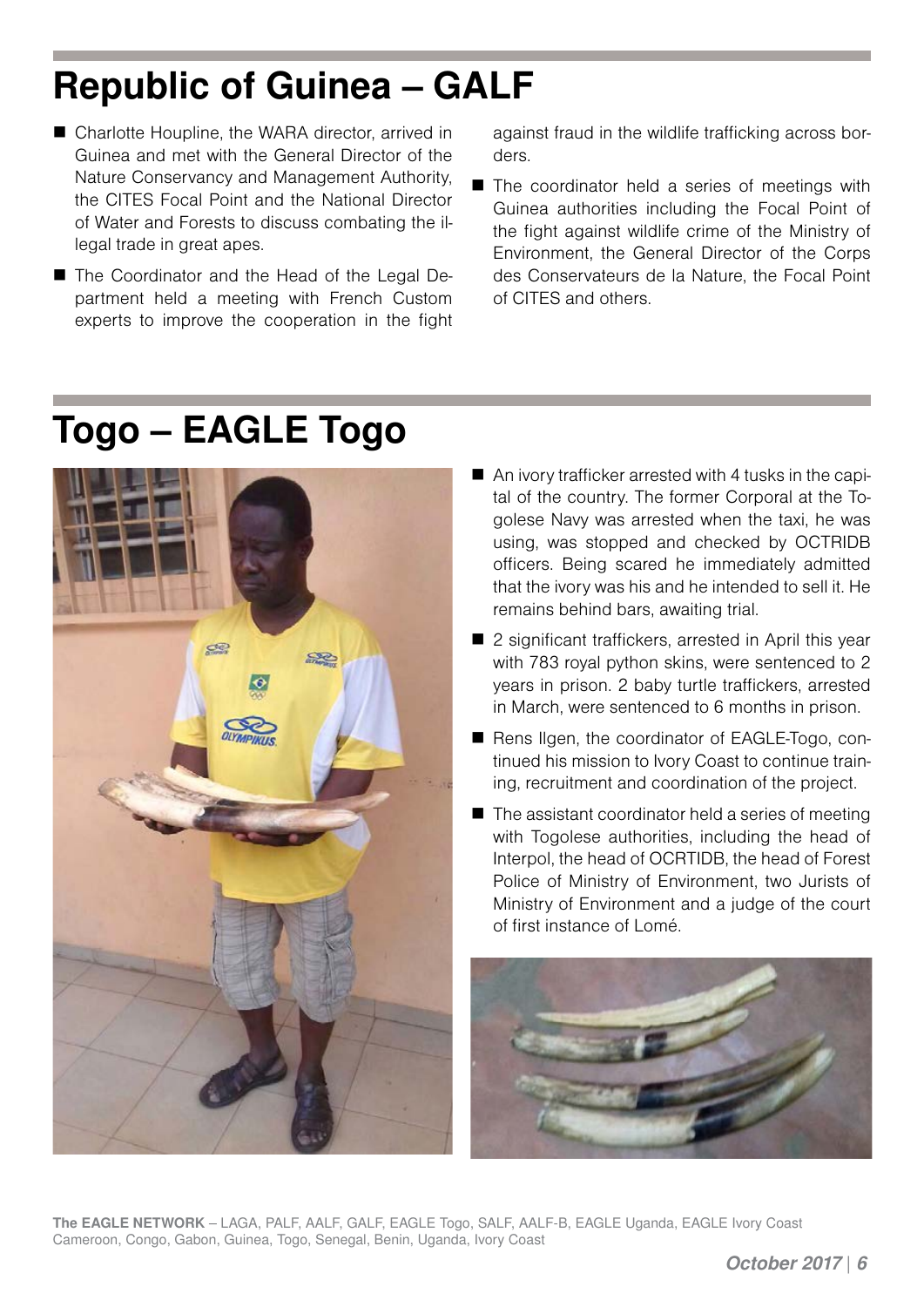# **Republic of Guinea – GALF**

- Charlotte Houpline, the WARA director, arrived in Guinea and met with the General Director of the Nature Conservancy and Management Authority, the CITES Focal Point and the National Director of Water and Forests to discuss combating the illegal trade in great apes.
- The Coordinator and the Head of the Legal Department held a meeting with French Custom experts to improve the cooperation in the fight

against fraud in the wildlife trafficking across borders.

■ The coordinator held a series of meetings with Guinea authorities including the Focal Point of the fight against wildlife crime of the Ministry of Environment, the General Director of the Corps des Conservateurs de la Nature, the Focal Point of CITES and others.

#### **Togo – EAGLE Togo**



- An ivory trafficker arrested with 4 tusks in the capital of the country. The former Corporal at the Togolese Navy was arrested when the taxi, he was using, was stopped and checked by OCTRIDB officers. Being scared he immediately admitted that the ivory was his and he intended to sell it. He remains behind bars, awaiting trial.
- 2 significant traffickers, arrested in April this year with 783 royal python skins, were sentenced to 2 years in prison. 2 baby turtle traffickers, arrested in March, were sentenced to 6 months in prison.
- Rens Ilgen, the coordinator of EAGLE-Togo, continued his mission to Ivory Coast to continue training, recruitment and coordination of the project.
- The assistant coordinator held a series of meeting with Togolese authorities, including the head of Interpol, the head of OCRTIDB, the head of Forest Police of Ministry of Environment, two Jurists of Ministry of Environment and a judge of the court of first instance of Lomé.



**The EAGLE NETWORK** – LAGA, PALF, AALF, GALF, EAGLE Togo, SALF, AALF-B, EAGLE Uganda, EAGLE Ivory Coast Cameroon, Congo, Gabon, Guinea, Togo, Senegal, Benin, Uganda, Ivory Coast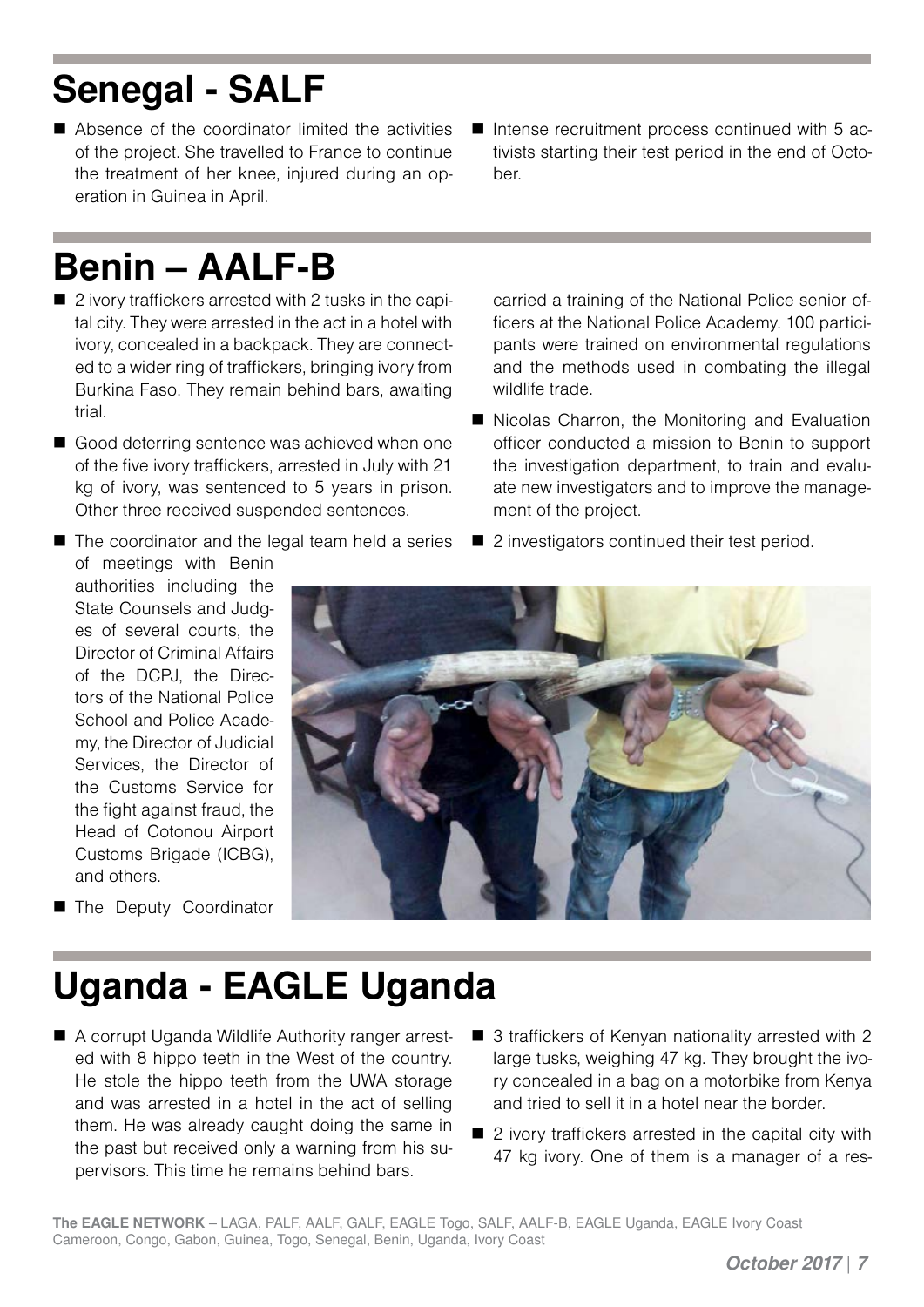# **Senegal - SALF**

- Absence of the coordinator limited the activities of the project. She travelled to France to continue the treatment of her knee, injured during an operation in Guinea in April.
- $\blacksquare$  Intense recruitment process continued with 5 activists starting their test period in the end of October.

# **Benin – AALF-B**

- 2 ivory traffickers arrested with 2 tusks in the capital city. They were arrested in the act in a hotel with ivory, concealed in a backpack. They are connected to a wider ring of traffickers, bringing ivory from Burkina Faso. They remain behind bars, awaiting trial.
- Good deterring sentence was achieved when one of the five ivory traffickers, arrested in July with 21 kg of ivory, was sentenced to 5 years in prison. Other three received suspended sentences.
- The coordinator and the legal team held a series

carried a training of the National Police senior officers at the National Police Academy. 100 participants were trained on environmental regulations and the methods used in combating the illegal wildlife trade.

- Nicolas Charron, the Monitoring and Evaluation officer conducted a mission to Benin to support the investigation department, to train and evaluate new investigators and to improve the management of the project.
- 2 investigators continued their test period.





**The Deputy Coordinator** 

# **Uganda - EAGLE Uganda**

- A corrupt Uganda Wildlife Authority ranger arrested with 8 hippo teeth in the West of the country. He stole the hippo teeth from the UWA storage and was arrested in a hotel in the act of selling them. He was already caught doing the same in the past but received only a warning from his supervisors. This time he remains behind bars.
- 3 traffickers of Kenyan nationality arrested with 2 large tusks, weighing 47 kg. They brought the ivory concealed in a bag on a motorbike from Kenya and tried to sell it in a hotel near the border.
- 2 ivory traffickers arrested in the capital city with 47 kg ivory. One of them is a manager of a res-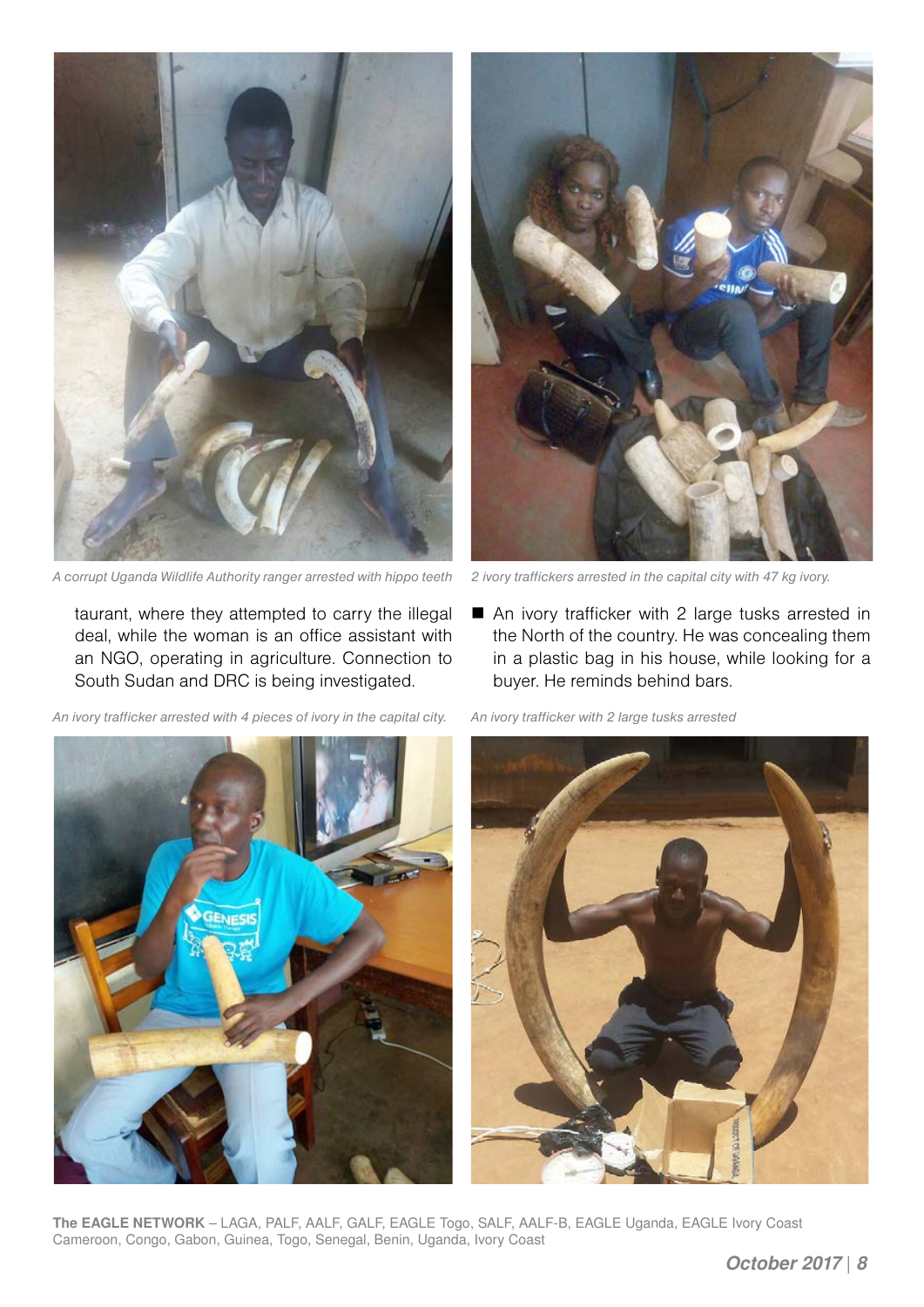

*A corrupt Uganda Wildlife Authority ranger arrested with hippo teeth 2 ivory traffickers arrested in the capital city with 47 kg ivory.*

taurant, where they attempted to carry the illegal deal, while the woman is an office assistant with an NGO, operating in agriculture. Connection to South Sudan and DRC is being investigated.

*An ivory trafficker arrested with 4 pieces of ivory in the capital city. An ivory trafficker with 2 large tusks arrested* 



■ An ivory trafficker with 2 large tusks arrested in the North of the country. He was concealing them in a plastic bag in his house, while looking for a buyer. He reminds behind bars.





**The EAGLE NETWORK** – LAGA, PALF, AALF, GALF, EAGLE Togo, SALF, AALF-B, EAGLE Uganda, EAGLE Ivory Coast Cameroon, Congo, Gabon, Guinea, Togo, Senegal, Benin, Uganda, Ivory Coast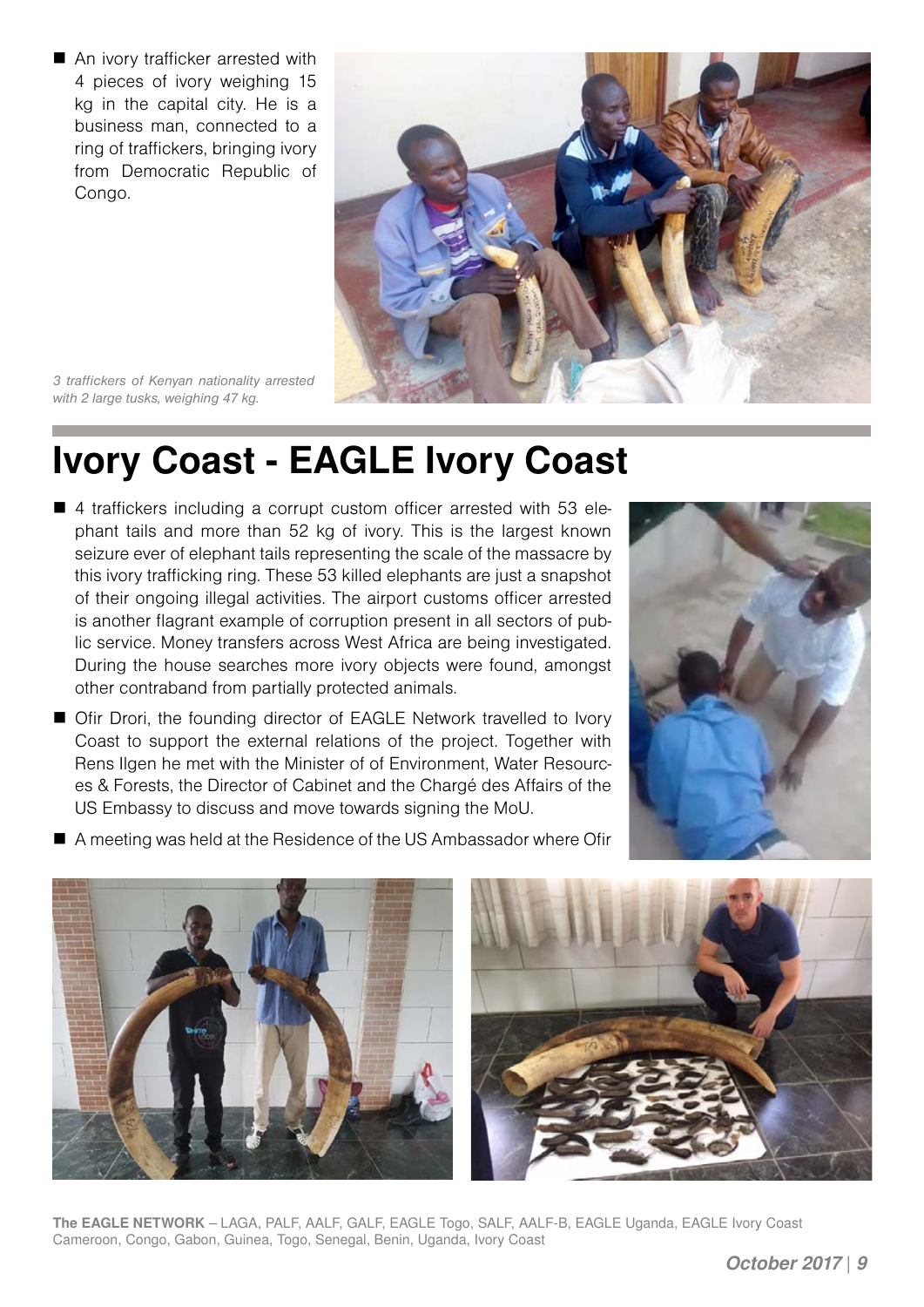■ An ivory trafficker arrested with 4 pieces of ivory weighing 15 kg in the capital city. He is a business man, connected to a ring of traffickers, bringing ivory from Democratic Republic of Congo.



*3 traffickers of Kenyan nationality arrested with 2 large tusks, weighing 47 kg.*

#### **Ivory Coast - EAGLE Ivory Coast**

- 4 traffickers including a corrupt custom officer arrested with 53 elephant tails and more than 52 kg of ivory. This is the largest known seizure ever of elephant tails representing the scale of the massacre by this ivory trafficking ring. These 53 killed elephants are just a snapshot of their ongoing illegal activities. The airport customs officer arrested is another flagrant example of corruption present in all sectors of public service. Money transfers across West Africa are being investigated. During the house searches more ivory objects were found, amongst other contraband from partially protected animals.
- Ofir Drori, the founding director of EAGLE Network travelled to Ivory Coast to support the external relations of the project. Together with Rens Ilgen he met with the Minister of of Environment, Water Resources & Forests, the Director of Cabinet and the Chargé des Affairs of the US Embassy to discuss and move towards signing the MoU.



■ A meeting was held at the Residence of the US Ambassador where Ofir



**The EAGLE NETWORK** – LAGA, PALF, AALF, GALF, EAGLE Togo, SALF, AALF-B, EAGLE Uganda, EAGLE Ivory Coast Cameroon, Congo, Gabon, Guinea, Togo, Senegal, Benin, Uganda, Ivory Coast